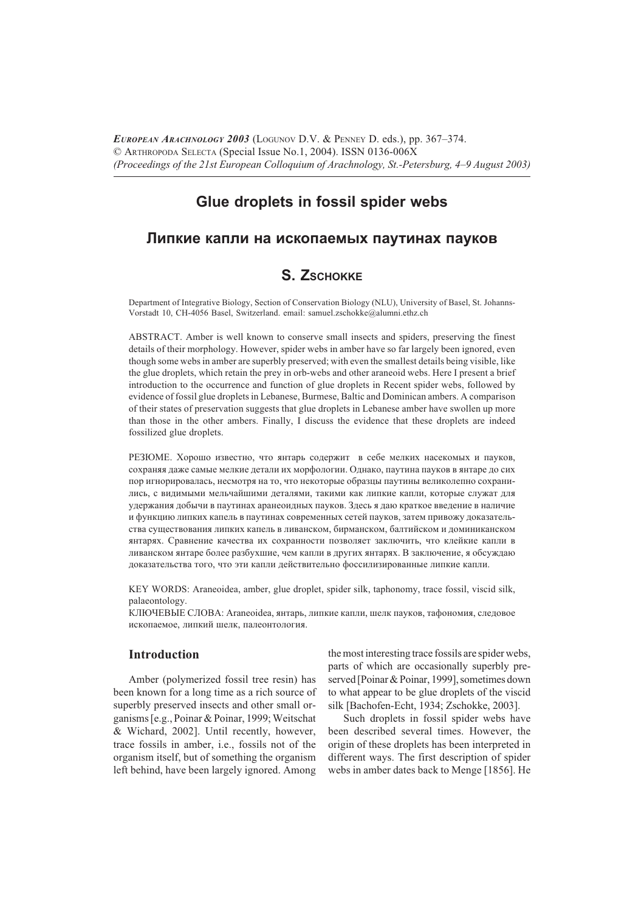EUROPEAN ARACHNOLOGY 2003 (LOGUNOV D.V. & PENNEY D. eds.), pp. 367-374. © ARTHROPODA SELECTA (Special Issue No.1, 2004). ISSN 0136-006X (Proceedings of the 21st European Colloquium of Arachnology, St.-Petersburg, 4–9 August 2003)

# Glue droplets in fossil spider webs

## Липкие капли на ископаемых паутинах пауков

# S. ZSCHOKKE

Department of Integrative Biology, Section of Conservation Biology (NLU), University of Basel, St. Johanns-Vorstadt 10, CH-4056 Basel, Switzerland. email: samuel.zschokke@alumni.ethz.ch

ABSTRACT. Amber is well known to conserve small insects and spiders, preserving the finest details of their morphology. However, spider webs in amber have so far largely been ignored, even though some webs in amber are superbly preserved; with even the smallest details being visible, like the glue droplets, which retain the prey in orb-webs and other araneoid webs. Here I present a brief introduction to the occurrence and function of glue droplets in Recent spider webs, followed by evidence of fossil glue droplets in Lebanese, Burmese, Baltic and Dominican ambers. A comparison of their states of preservation suggests that glue droplets in Lebanese amber have swollen up more than those in the other ambers. Finally, I discuss the evidence that these droplets are indeed fossilized glue droplets.

РЕЗЮМЕ. Хорошо известно, что янтарь содержит в себе мелких насекомых и пауков, сохраняя даже самые мелкие детали их морфологии. Однако, паутина пауков в янтаре до сих пор игнорировалась, несмотря на то, что некоторые образцы паутины великолепно сохранились, с видимыми мельчайшими деталями, такими как липкие капли, которые служат для удержания добычи в паутинах аранеоидных пауков. Здесь я даю краткое введение в наличие и функцию липких капель в паутинах современных сетей пауков, затем привожу доказательства существования липких капель в ливанском, бирманском, балтийском и доминиканском янтарях. Сравнение качества их сохранности позволяет заключить, что клейкие капли в ливанском янтаре более разбухшие, чем капли в других янтарях. В заключение, я обсуждаю доказательства того, что эти капли действительно фоссилизированные липкие капли.

KEY WORDS: Araneoidea, amber, glue droplet, spider silk, taphonomy, trace fossil, viscid silk, palaeontology.

КЛЮЧЕВЫЕ СЛОВА: Araneoidea, янтарь, липкие капли, шелк пауков, тафономия, следовое ископаемое, липкий шелк, палеонтология.

## **Introduction**

Amber (polymerized fossil tree resin) has been known for a long time as a rich source of superbly preserved insects and other small organisms [e.g., Poinar & Poinar, 1999; Weitschat & Wichard, 2002]. Until recently, however, trace fossils in amber, i.e., fossils not of the organism itself, but of something the organism left behind, have been largely ignored. Among

the most interesting trace fossils are spider webs, parts of which are occasionally superbly preserved [Poinar & Poinar, 1999], sometimes down to what appear to be glue droplets of the viscid silk [Bachofen-Echt, 1934; Zschokke, 2003].

Such droplets in fossil spider webs have been described several times. However, the origin of these droplets has been interpreted in different ways. The first description of spider webs in amber dates back to Menge [1856]. He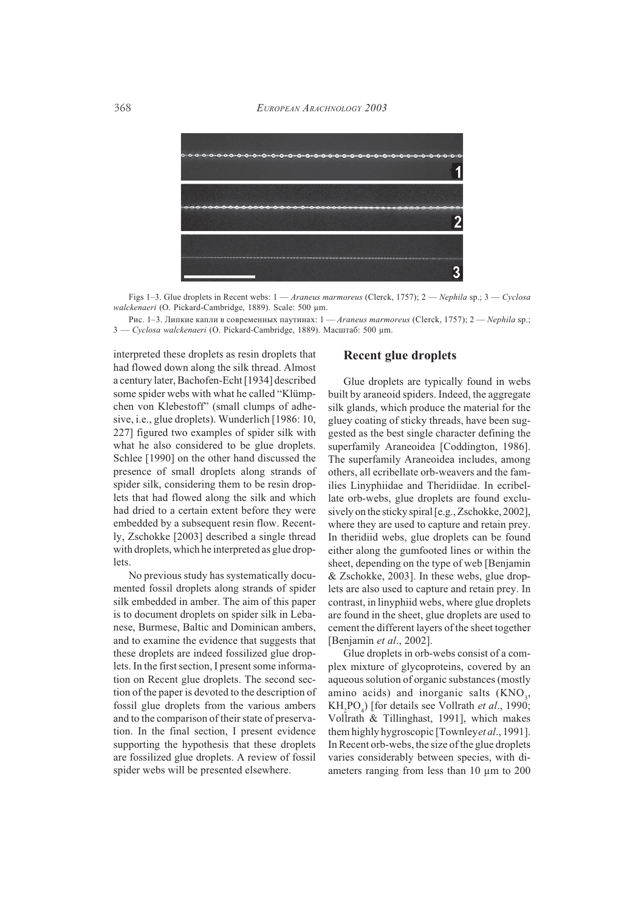

Figs 1-3. Glue droplets in Recent webs:  $1 - A$  raneus marmoreus (Clerck, 1757);  $2 - N$ ephila sp.;  $3 - C$ yclosa walckenaeri (O. Pickard-Cambridge, 1889). Scale: 500 um.

Рис. 1-3. Липкие капли в современных паутинах: 1 — Araneus marmoreus (Clerck, 1757); 2 — Nephila sp.; 3 — Cyclosa walckenaeri (О. Pickard-Cambridge, 1889). Масштаб: 500 µm.

interpreted these droplets as resin droplets that had flowed down along the silk thread. Almost a century later, Bachofen-Echt [1934] described some spider webs with what he called "Klümpchen von Klebestoff" (small clumps of adhesive, i.e., glue droplets). Wunderlich [1986: 10, 227] figured two examples of spider silk with what he also considered to be glue droplets. Schlee [1990] on the other hand discussed the presence of small droplets along strands of spider silk, considering them to be resin droplets that had flowed along the silk and which had dried to a certain extent before they were embedded by a subsequent resin flow. Recently, Zschokke [2003] described a single thread with droplets, which he interpreted as glue droplets.

No previous study has systematically documented fossil droplets along strands of spider silk embedded in amber. The aim of this paper is to document droplets on spider silk in Lebanese, Burmese, Baltic and Dominican ambers, and to examine the evidence that suggests that these droplets are indeed fossilized glue droplets. In the first section, I present some information on Recent glue droplets. The second section of the paper is devoted to the description of fossil glue droplets from the various ambers and to the comparison of their state of preservation. In the final section, I present evidence supporting the hypothesis that these droplets are fossilized glue droplets. A review of fossil spider webs will be presented elsewhere.

### **Recent glue droplets**

Glue droplets are typically found in webs built by araneoid spiders. Indeed, the aggregate silk glands, which produce the material for the gluey coating of sticky threads, have been suggested as the best single character defining the superfamily Araneoidea [Coddington, 1986]. The superfamily Araneoidea includes, among others, all ecribellate orb-weavers and the families Linyphiidae and Theridiidae. In ecribellate orb-webs, glue droplets are found exclusively on the sticky spiral [e.g., Zschokke, 2002], where they are used to capture and retain prey. In the ridiid webs, glue droplets can be found either along the gumfooted lines or within the sheet, depending on the type of web [Benjamin] & Zschokke, 2003]. In these webs, glue droplets are also used to capture and retain prey. In contrast, in linyphiid webs, where glue droplets are found in the sheet, glue droplets are used to cement the different layers of the sheet together [Benjamin et al., 2002].

Glue droplets in orb-webs consist of a complex mixture of glycoproteins, covered by an aqueous solution of organic substances (mostly amino acids) and inorganic salts (KNO<sub>3</sub>, KH<sub>2</sub>PO<sub>2</sub>) [for details see Vollrath *et al.*, 1990; Vollrath & Tillinghast, 1991], which makes them highly hygroscopic [Townley et al., 1991]. In Recent orb-webs, the size of the glue droplets varies considerably between species, with diameters ranging from less than 10 µm to 200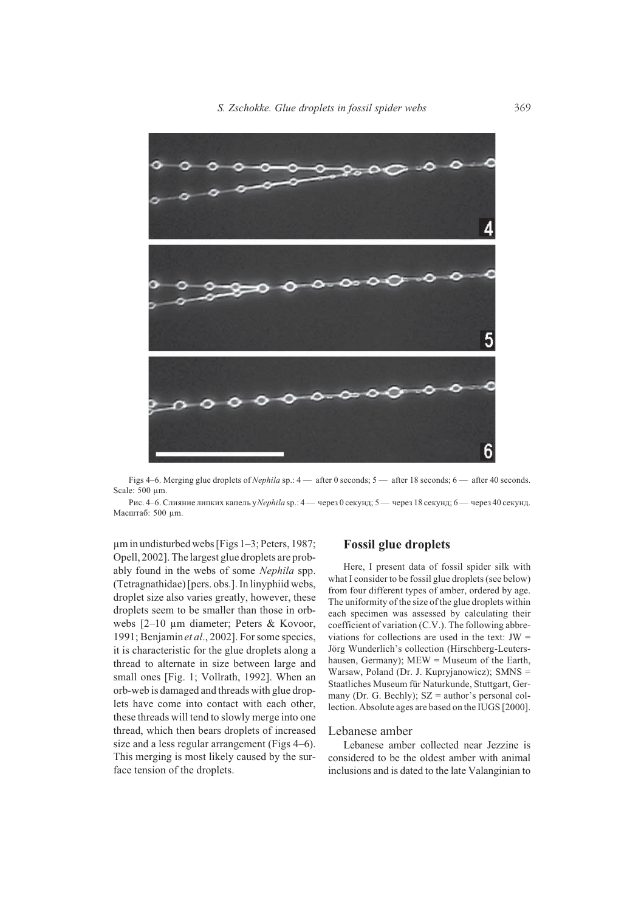

Figs 4–6. Merging glue droplets of *Nephila* sp.: 4 — after 0 seconds; 5 — after 18 seconds; 6 — after 40 seconds. Scale: 500 um.

Рис. 4-6. Слияние липких капель у Nephila sp.: 4 - через 0 секунд; 5 - через 18 секунд; 6 - через 40 секунд. Масштаб: 500 µm.

 $\mu$ m in undisturbed webs [Figs 1-3; Peters, 1987; Opell, 2002]. The largest glue droplets are probably found in the webs of some Nephila spp. (Tetragnathidae) [pers. obs.]. In linyphiid webs, droplet size also varies greatly, however, these droplets seem to be smaller than those in orbwebs  $[2-10 \mu m$  diameter; Peters & Kovoor, 1991; Benjamin et al., 2002]. For some species, it is characteristic for the glue droplets along a thread to alternate in size between large and small ones [Fig. 1; Vollrath, 1992]. When an orb-web is damaged and threads with glue droplets have come into contact with each other, these threads will tend to slowly merge into one thread, which then bears droplets of increased size and a less regular arrangement (Figs 4–6). This merging is most likely caused by the surface tension of the droplets.

#### **Fossil glue droplets**

Here, I present data of fossil spider silk with what I consider to be fossil glue droplets (see below) from four different types of amber, ordered by age. The uniformity of the size of the glue droplets within each specimen was assessed by calculating their coefficient of variation (C.V.). The following abbreviations for collections are used in the text:  $JW =$ Jörg Wunderlich's collection (Hirschberg-Leutershausen, Germany);  $MEW = Museum$  of the Earth, Warsaw, Poland (Dr. J. Kupryjanowicz); SMNS = Staatliches Museum für Naturkunde, Stuttgart, Germany (Dr. G. Bechly);  $SZ =$  author's personal collection. Absolute ages are based on the IUGS [2000].

#### Lebanese amber

Lebanese amber collected near Jezzine is considered to be the oldest amber with animal inclusions and is dated to the late Valanginian to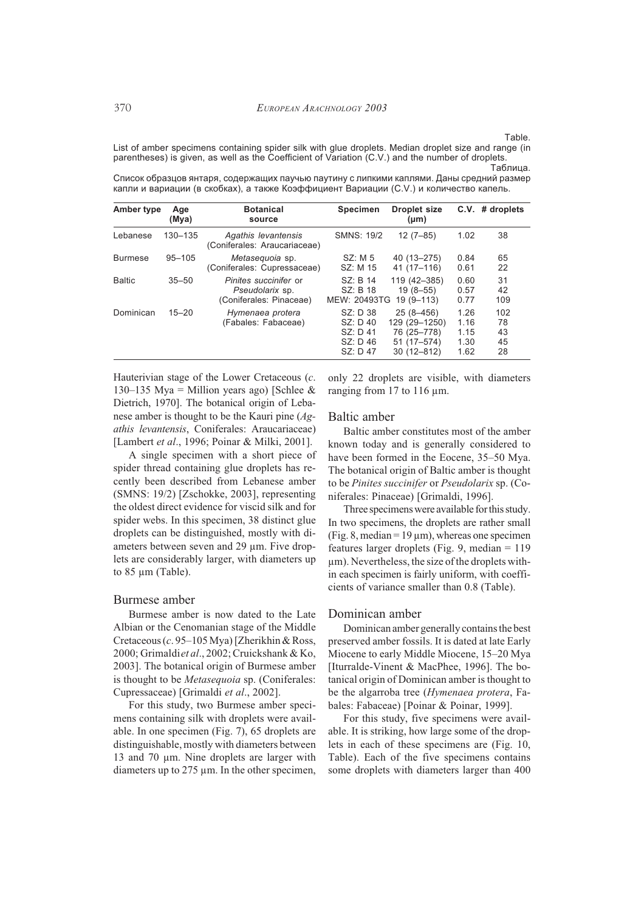#### Table.

List of amber specimens containing spider silk with glue droplets. Median droplet size and range (in parentheses) is given, as well as the Coefficient of Variation (C.V.) and the number of droplets. Таблица.

| Amber type     | Age<br>(Mya) | <b>Botanical</b><br>source                                                 | <b>Specimen</b>                                            | <b>Droplet size</b><br>$(\mu m)$                                                  | C.V.                                 | # droplets                  |
|----------------|--------------|----------------------------------------------------------------------------|------------------------------------------------------------|-----------------------------------------------------------------------------------|--------------------------------------|-----------------------------|
| Lebanese       | 130-135      | Agathis levantensis<br>(Coniferales: Araucariaceae)                        | <b>SMNS: 19/2</b>                                          | $12(7 - 85)$                                                                      | 1.02                                 | 38                          |
| <b>Burmese</b> | $95 - 105$   | Metasequoia sp.<br>(Coniferales: Cupressaceae)                             | SZ: M <sub>5</sub><br>SZ: M 15                             | 40 (13-275)<br>41 (17-116)                                                        | 0.84<br>0.61                         | 65<br>22                    |
| <b>Baltic</b>  | $35 - 50$    | <i>Pinites succinifer or</i><br>Pseudolarix sp.<br>(Coniferales: Pinaceae) | SZ: B 14<br>SZ: B 18<br>MEW: 20493TG                       | 119 (42-385)<br>$19(8 - 55)$<br>$19(9 - 113)$                                     | 0.60<br>0.57<br>0.77                 | 31<br>42<br>109             |
| Dominican      | $15 - 20$    | Hymenaea protera<br>(Fabales: Fabaceae)                                    | SZ: D 38<br>SZ: D 40<br>SZ: D 41<br>$SZ: D$ 46<br>SZ: D 47 | $25(8 - 456)$<br>129 (29-1250)<br>76 (25-778)<br>$51(17 - 574)$<br>$30(12 - 812)$ | 1.26<br>1.16<br>1.15<br>1.30<br>1.62 | 102<br>78<br>43<br>45<br>28 |

Список образцов янтаря, содержащих паучью паутину с липкими каплями. Даны средний размер капли и вариации (в скобках), а также Коэффициент Вариации (С.V.) и количество капель.

Hauterivian stage of the Lower Cretaceous (c. 130–135 Mya = Million years ago) [Schlee & Dietrich, 1970]. The botanical origin of Lebanese amber is thought to be the Kauri pine  $(Ag -)$ athis levantensis, Coniferales: Araucariaceae) [Lambert et al., 1996; Poinar & Milki, 2001].

A single specimen with a short piece of spider thread containing glue droplets has recently been described from Lebanese amber (SMNS: 19/2) [Zschokke, 2003], representing the oldest direct evidence for viscid silk and for spider webs. In this specimen, 38 distinct glue droplets can be distinguished, mostly with diameters between seven and 29 µm. Five droplets are considerably larger, with diameters up to  $85 \mu m$  (Table).

#### Burmese amber

Burmese amber is now dated to the Late Albian or the Cenomanian stage of the Middle Cretaceous (c. 95-105 Mya) [Zherikhin & Ross, 2000; Grimaldiet al., 2002; Cruickshank & Ko, 2003]. The botanical origin of Burmese amber is thought to be Metasequoia sp. (Coniferales: Cupressaceae) [Grimaldi et al., 2002].

For this study, two Burmese amber specimens containing silk with droplets were available. In one specimen (Fig. 7), 65 droplets are distinguishable, mostly with diameters between 13 and 70 μm. Nine droplets are larger with diameters up to  $275 \mu m$ . In the other specimen,

only 22 droplets are visible, with diameters ranging from 17 to 116  $\mu$ m.

#### Baltic amber

Baltic amber constitutes most of the amber known today and is generally considered to have been formed in the Eocene, 35–50 Mya. The botanical origin of Baltic amber is thought to be Pinites succinifer or Pseudolarix sp. (Coniferales: Pinaceae) [Grimaldi, 1996].

Three specimens were available for this study. In two specimens, the droplets are rather small (Fig. 8, median =  $19 \mu m$ ), whereas one specimen features larger droplets (Fig. 9, median  $= 119$ um). Nevertheless, the size of the droplets within each specimen is fairly uniform, with coefficients of variance smaller than 0.8 (Table).

#### Dominican amber

Dominican amber generally contains the best preserved amber fossils. It is dated at late Early Miocene to early Middle Miocene, 15–20 Mya [Iturralde-Vinent & MacPhee, 1996]. The botanical origin of Dominican amber is thought to be the algarroba tree (*Hymenaea protera*, Fabales: Fabaceae) [Poinar & Poinar, 1999].

For this study, five specimens were available. It is striking, how large some of the droplets in each of these specimens are (Fig. 10, Table). Each of the five specimens contains some droplets with diameters larger than 400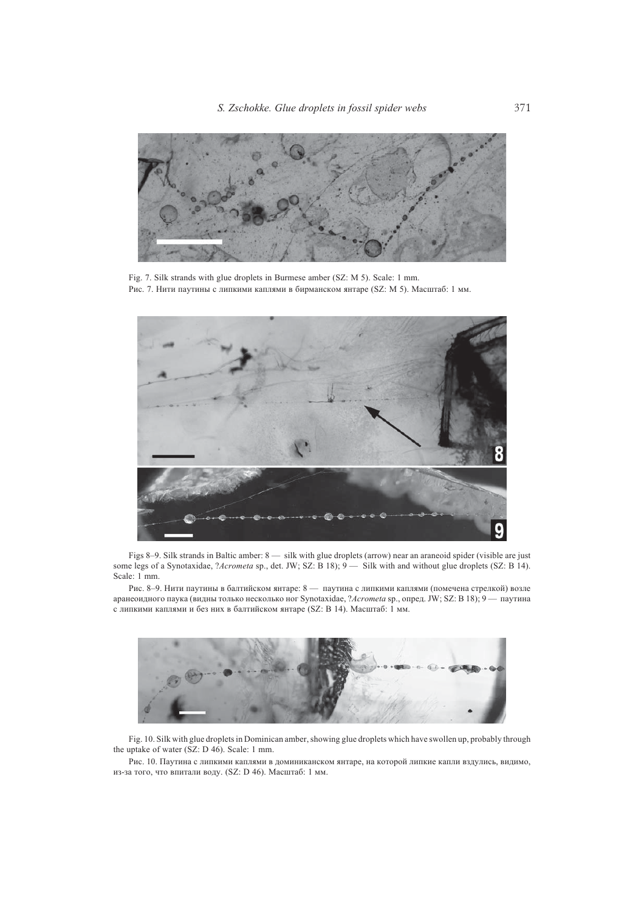

Fig. 7. Silk strands with glue droplets in Burmese amber (SZ: M 5). Scale: 1 mm. Рис. 7. Нити паутины с липкими каплями в бирманском янтаре (SZ: M 5). Масштаб: 1 мм.



Figs 8-9. Silk strands in Baltic amber: 8 - silk with glue droplets (arrow) near an araneoid spider (visible are just some legs of a Synotaxidae, ?Acrometa sp., det. JW; SZ: B 18); 9 - Silk with and without glue droplets (SZ: B 14). Scale: 1 mm.

Рис. 8-9. Нити паутины в балтийском янтаре: 8 - паутина с липкими каплями (помечена стрелкой) возле аранеоидного паука (видны только несколько ног Synotaxidae, ?Acrometa sp., опред. JW; SZ: В 18); 9 - паутина с липкими каплями и без них в балтийском янтаре (SZ: В 14). Масштаб: 1 мм.



Fig. 10. Silk with glue droplets in Dominican amber, showing glue droplets which have swollen up, probably through the uptake of water (SZ: D 46). Scale: 1 mm.

Рис. 10. Паутина с липкими каплями в доминиканском янтаре, на которой липкие капли вздулись, видимо, из-за того, что впитали воду. (SZ: D 46). Масштаб: 1 мм.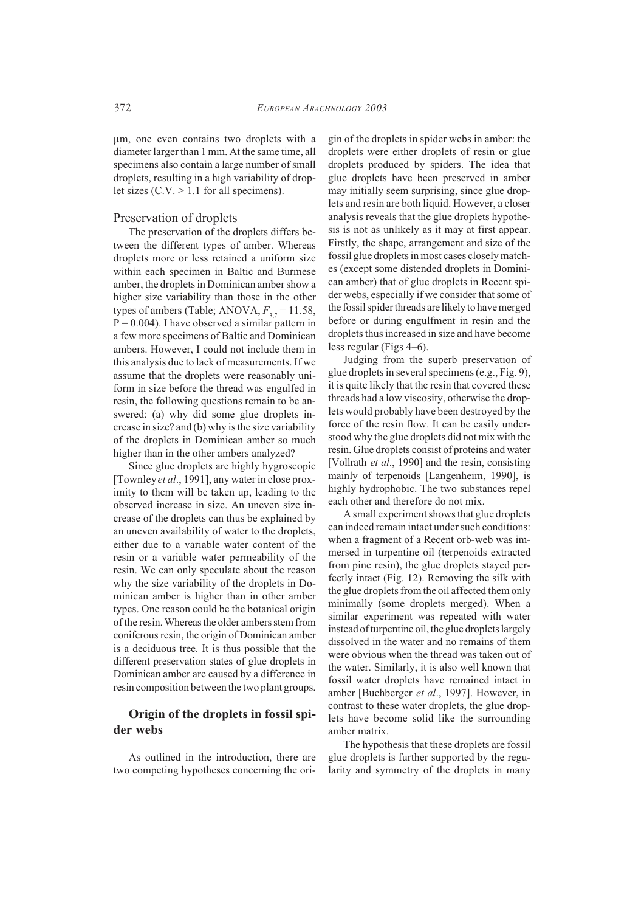um, one even contains two droplets with a diameter larger than 1 mm. At the same time, all specimens also contain a large number of small droplets, resulting in a high variability of droplet sizes  $(C.V. > 1.1$  for all specimens).

#### Preservation of droplets

The preservation of the droplets differs between the different types of amber. Whereas droplets more or less retained a uniform size within each specimen in Baltic and Burmese amber, the droplets in Dominican amber show a higher size variability than those in the other types of ambers (Table; ANOVA,  $F_{37}$  = 11.58,  $P = 0.004$ ). I have observed a similar pattern in a few more specimens of Baltic and Dominican ambers. However, I could not include them in this analysis due to lack of measurements. If we assume that the droplets were reasonably uniform in size before the thread was engulfed in resin, the following questions remain to be answered: (a) why did some glue droplets increase in size? and (b) why is the size variability of the droplets in Dominican amber so much higher than in the other ambers analyzed?

Since glue droplets are highly hygroscopic [Townley et al., 1991], any water in close proximity to them will be taken up, leading to the observed increase in size. An uneven size increase of the droplets can thus be explained by an uneven availability of water to the droplets, either due to a variable water content of the resin or a variable water permeability of the resin. We can only speculate about the reason why the size variability of the droplets in Dominican amber is higher than in other amber types. One reason could be the botanical origin of the resin. Whereas the older ambers stem from coniferous resin, the origin of Dominican amber is a deciduous tree. It is thus possible that the different preservation states of glue droplets in Dominican amber are caused by a difference in resin composition between the two plant groups.

## Origin of the droplets in fossil spider webs

As outlined in the introduction, there are two competing hypotheses concerning the ori-

gin of the droplets in spider webs in amber: the droplets were either droplets of resin or glue droplets produced by spiders. The idea that glue droplets have been preserved in amber may initially seem surprising, since glue droplets and resin are both liquid. However, a closer analysis reveals that the glue droplets hypothesis is not as unlikely as it may at first appear. Firstly, the shape, arrangement and size of the fossil glue droplets in most cases closely matches (except some distended droplets in Dominican amber) that of glue droplets in Recent spider webs, especially if we consider that some of the fossil spider threads are likely to have merged before or during engulfment in resin and the droplets thus increased in size and have become less regular (Figs  $4-6$ ).

Judging from the superb preservation of glue droplets in several specimens (e.g., Fig. 9), it is quite likely that the resin that covered these threads had a low viscosity, otherwise the droplets would probably have been destroyed by the force of the resin flow. It can be easily understood why the glue droplets did not mix with the resin. Glue droplets consist of proteins and water [Vollrath et al., 1990] and the resin, consisting mainly of terpenoids [Langenheim, 1990], is highly hydrophobic. The two substances repel each other and therefore do not mix.

A small experiment shows that glue droplets can indeed remain intact under such conditions: when a fragment of a Recent orb-web was immersed in turpentine oil (terpenoids extracted from pine resin), the glue droplets stayed perfectly intact (Fig. 12). Removing the silk with the glue droplets from the oil affected them only minimally (some droplets merged). When a similar experiment was repeated with water instead of turpentine oil, the glue droplets largely dissolved in the water and no remains of them were obvious when the thread was taken out of the water. Similarly, it is also well known that fossil water droplets have remained intact in amber [Buchberger et al., 1997]. However, in contrast to these water droplets, the glue droplets have become solid like the surrounding amber matrix.

The hypothesis that these droplets are fossil glue droplets is further supported by the regularity and symmetry of the droplets in many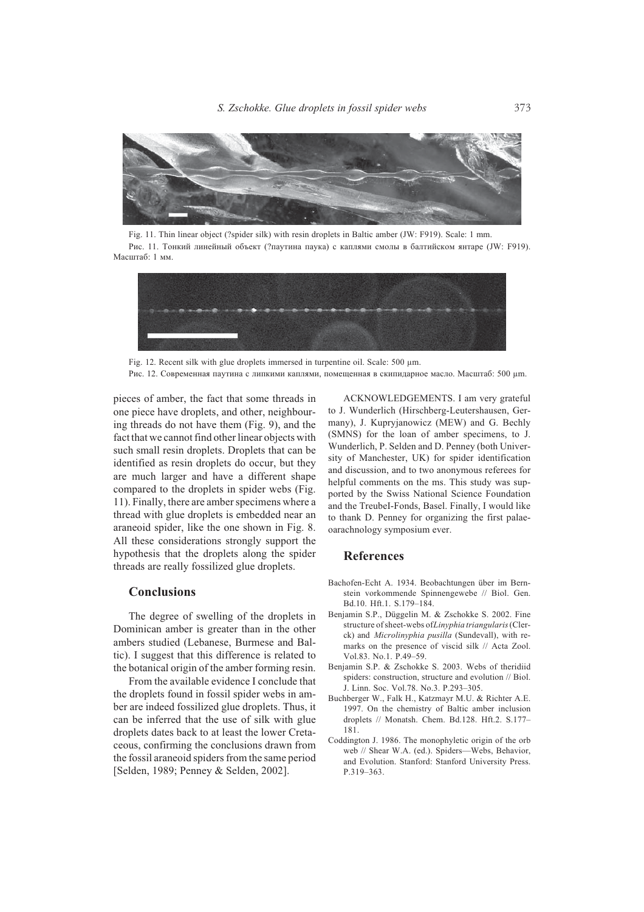

Fig. 11. Thin linear object (?spider silk) with resin droplets in Baltic amber (JW: F919). Scale: 1 mm. Рис. 11. Тонкий линейный объект (?паутина паука) с каплями смолы в балтийском янтаре (JW: F919). Масштаб: 1 мм.



Fig. 12. Recent silk with glue droplets immersed in turpentine oil. Scale: 500 μm. Рис. 12. Современная паутина с липкими каплями, помещенная в скипидарное масло. Масштаб: 500 µm.

pieces of amber, the fact that some threads in one piece have droplets, and other, neighbouring threads do not have them (Fig. 9), and the fact that we cannot find other linear objects with such small resin droplets. Droplets that can be identified as resin droplets do occur, but they are much larger and have a different shape compared to the droplets in spider webs (Fig. 11). Finally, there are amber specimens where a thread with glue droplets is embedded near an araneoid spider, like the one shown in Fig. 8. All these considerations strongly support the hypothesis that the droplets along the spider threads are really fossilized glue droplets.

### **Conclusions**

The degree of swelling of the droplets in Dominican amber is greater than in the other ambers studied (Lebanese, Burmese and Baltic). I suggest that this difference is related to the botanical origin of the amber forming resin.

From the available evidence I conclude that the droplets found in fossil spider webs in amber are indeed fossilized glue droplets. Thus, it can be inferred that the use of silk with glue droplets dates back to at least the lower Cretaceous, confirming the conclusions drawn from the fossil araneoid spiders from the same period [Selden, 1989; Penney & Selden, 2002].

ACKNOWLEDGEMENTS. I am very grateful to J. Wunderlich (Hirschberg-Leutershausen, Germany), J. Kupryjanowicz (MEW) and G. Bechly (SMNS) for the loan of amber specimens, to J. Wunderlich, P. Selden and D. Penney (both University of Manchester, UK) for spider identification and discussion, and to two anonymous referees for helpful comments on the ms. This study was supported by the Swiss National Science Foundation and the Treubel-Fonds, Basel. Finally, I would like to thank D. Penney for organizing the first palaeoarachnology symposium ever.

### **References**

- Bachofen-Echt A. 1934. Beobachtungen über im Bernstein vorkommende Spinnengewebe // Biol. Gen. Bd.10. Hft.1. S.179-184.
- Benjamin S.P., Düggelin M. & Zschokke S. 2002. Fine structure of sheet-webs of Linyphia triangularis (Clerck) and Microlinyphia pusilla (Sundevall), with remarks on the presence of viscid silk // Acta Zool. Vol.83, No.1, P.49-59.
- Benjamin S.P. & Zschokke S. 2003. Webs of theridiid spiders: construction, structure and evolution // Biol. J. Linn. Soc. Vol.78. No.3. P.293-305.
- Buchberger W., Falk H., Katzmayr M.U. & Richter A.E. 1997. On the chemistry of Baltic amber inclusion droplets // Monatsh. Chem. Bd.128. Hft.2. S.177-181
- Coddington J. 1986. The monophyletic origin of the orb web // Shear W.A. (ed.). Spiders-Webs, Behavior, and Evolution. Stanford: Stanford University Press.  $P.319 - 363.$